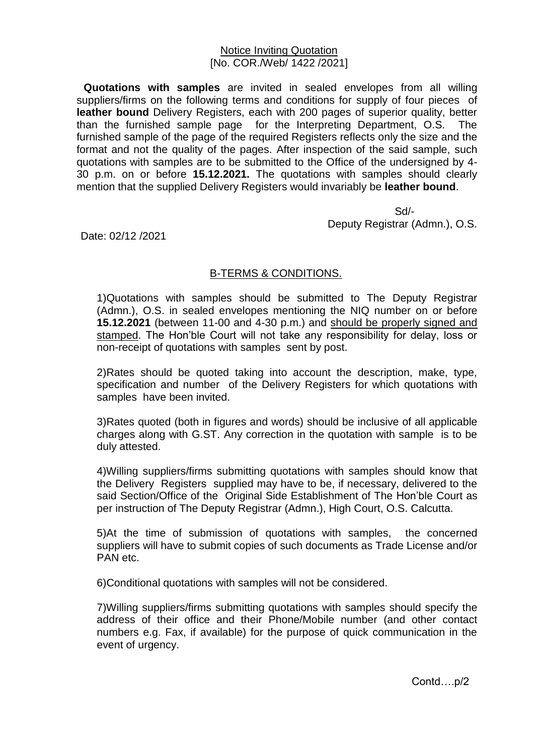## Notice Inviting Quotation [No. COR./Web/ 1422 /2021]

**Quotations with samples** are invited in sealed envelopes from all willing suppliers/firms on the following terms and conditions for supply of four pieces of **leather bound** Delivery Registers, each with 200 pages of superior quality, better than the furnished sample page for the Interpreting Department, O.S. The furnished sample of the page of the required Registers reflects only the size and the format and not the quality of the pages. After inspection of the said sample, such quotations with samples are to be submitted to the Office of the undersigned by 4- 30 p.m. on or before **15.12.2021.** The quotations with samples should clearly mention that the supplied Delivery Registers would invariably be **leather bound**.

 Sd/- Deputy Registrar (Admn.), O.S.

Date: 02/12 /2021

## B-TERMS & CONDITIONS.

1)Quotations with samples should be submitted to The Deputy Registrar (Admn.), O.S. in sealed envelopes mentioning the NIQ number on or before **15.12.2021** (between 11-00 and 4-30 p.m.) and should be properly signed and stamped. The Hon'ble Court will not take any responsibility for delay, loss or non-receipt of quotations with samples sent by post.

2)Rates should be quoted taking into account the description, make, type, specification and number of the Delivery Registers for which quotations with samples have been invited.

3)Rates quoted (both in figures and words) should be inclusive of all applicable charges along with G.ST. Any correction in the quotation with sample is to be duly attested.

4)Willing suppliers/firms submitting quotations with samples should know that the Delivery Registers supplied may have to be, if necessary, delivered to the said Section/Office of the Original Side Establishment of The Hon'ble Court as per instruction of The Deputy Registrar (Admn.), High Court, O.S. Calcutta.

5)At the time of submission of quotations with samples, the concerned suppliers will have to submit copies of such documents as Trade License and/or PAN etc.

6)Conditional quotations with samples will not be considered.

7)Willing suppliers/firms submitting quotations with samples should specify the address of their office and their Phone/Mobile number (and other contact numbers e.g. Fax, if available) for the purpose of quick communication in the event of urgency.